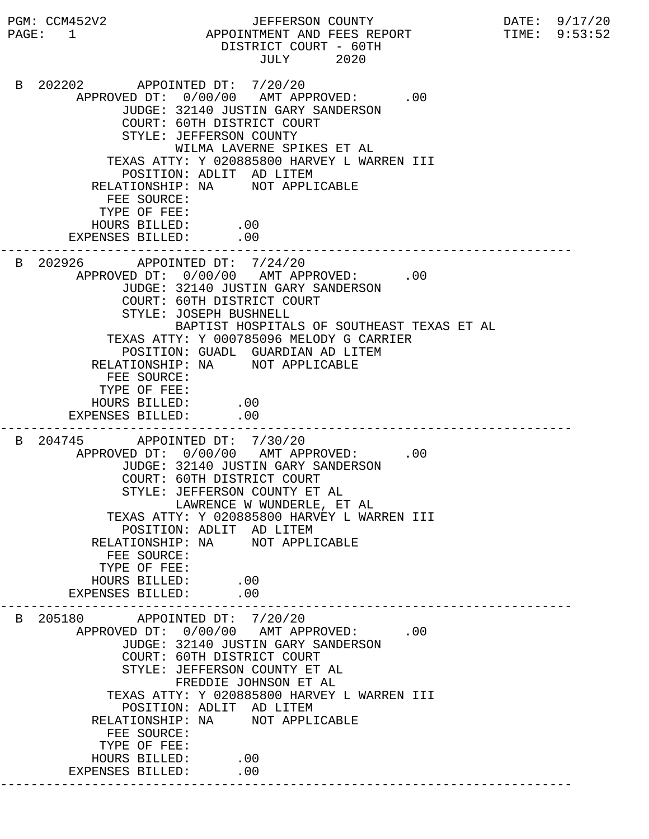PGM: CCM452V2 JEFFERSON COUNTY DATE: 9/17/20 PAGE: 1 APPOINTMENT AND FEES REPORT TIME: 9:53:52 DISTRICT COURT - 60TH JULY 2020 B 202202 APPOINTED DT: 7/20/20 APPROVED DT:  $0/00/00$  AMT APPROVED: .00 JUDGE: 32140 JUSTIN GARY SANDERSON COURT: 60TH DISTRICT COURT STYLE: JEFFERSON COUNTY WILMA LAVERNE SPIKES ET AL TEXAS ATTY: Y 020885800 HARVEY L WARREN III POSITION: ADLIT AD LITEM RELATIONSHIP: NA NOT APPLICABLE FEE SOURCE: TYPE OF FEE: HOURS BILLED: .00 EXPENSES BILLED: .00 --------------------------------------------------------------------------- B 202926 APPOINTED DT: 7/24/20 APPROVED DT:  $0/00/00$  AMT APPROVED: .00 JUDGE: 32140 JUSTIN GARY SANDERSON COURT: 60TH DISTRICT COURT STYLE: JOSEPH BUSHNELL BAPTIST HOSPITALS OF SOUTHEAST TEXAS ET AL TEXAS ATTY: Y 000785096 MELODY G CARRIER POSITION: GUADL GUARDIAN AD LITEM RELATIONSHIP: NA NOT APPLICABLE FEE SOURCE: TYPE OF FEE: HOURS BILLED: .00 EXPENSES BILLED: .00 --------------------------------------------------------------------------- B 204745 APPOINTED DT: 7/30/20 APPROVED DT:  $0/00/00$  AMT APPROVED: .00 JUDGE: 32140 JUSTIN GARY SANDERSON COURT: 60TH DISTRICT COURT STYLE: JEFFERSON COUNTY ET AL LAWRENCE W WUNDERLE, ET AL TEXAS ATTY: Y 020885800 HARVEY L WARREN III POSITION: ADLIT AD LITEM RELATIONSHIP: NA NOT APPLICABLE FEE SOURCE: TYPE OF FEE: HOURS BILLED: .00<br>ENSES BILLED: .00 EXPENSES BILLED: --------------------------------------------------------------------------- B 205180 APPOINTED DT: 7/20/20 APPROVED DT:  $0/00/00$  AMT APPROVED: .00 JUDGE: 32140 JUSTIN GARY SANDERSON COURT: 60TH DISTRICT COURT STYLE: JEFFERSON COUNTY ET AL FREDDIE JOHNSON ET AL TEXAS ATTY: Y 020885800 HARVEY L WARREN III POSITION: ADLIT AD LITEM RELATIONSHIP: NA NOT APPLICABLE FEE SOURCE: TYPE OF FEE: HOURS BILLED: .00 EXPENSES BILLED: .00 ---------------------------------------------------------------------------